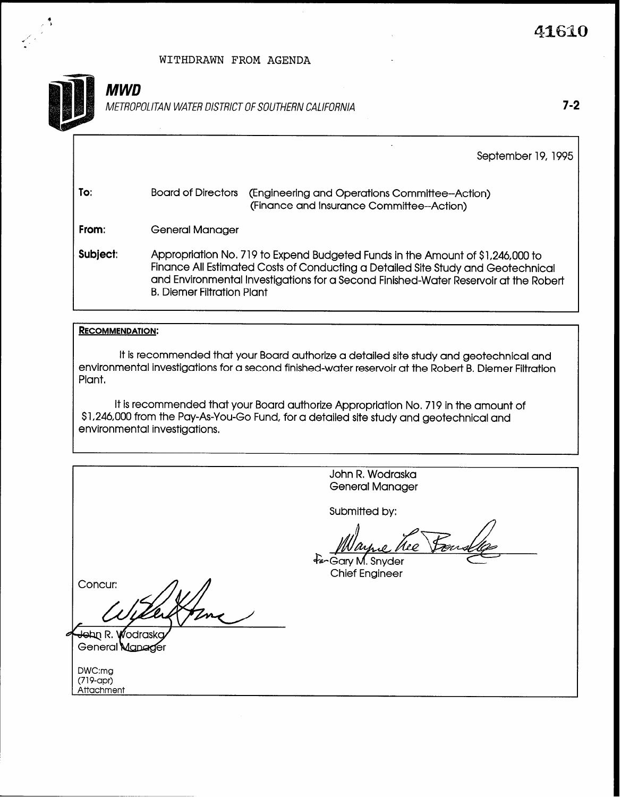### WITHDRAWN FROM AGENDA



I+' ' I

# MWD

METROPOLITAN WATER DISTRICT OF SOUTHERN CALIFORNIA **7-2** 

B. Diemer Filtration Plant

September 19, 1995

| To:      | Board of Directors | (Engineering and Operations Committee-Action)<br>(Finance and Insurance Committee--Action)                                                                                                                                                                 |
|----------|--------------------|------------------------------------------------------------------------------------------------------------------------------------------------------------------------------------------------------------------------------------------------------------|
| From:    | General Manager    |                                                                                                                                                                                                                                                            |
| Subject: |                    | Appropriation No. 719 to Expend Budgeted Funds in the Amount of \$1,246,000 to<br>Finance All Estimated Costs of Conducting a Detailed Site Study and Geotechnical<br>and Environmental Investigations for a Second Finished-Water Reservoir at the Robert |

#### RECOMMENDATION:

It is recommended that your Board authorize a detailed site study and geotechnical and environmental investigations for a second finished-water reservoir at the Robert B. Diemer Filtration Plant,

It is recommended that your Board authorize Appropriation No. 719 in the amount of \$1,246,000 from the Pay-As-You-Go Fund, for a detailed site study and geotechnical and environmental investigations.

John R. Wodraska General Manager Submitted by: ⁄lee fanGary M. Snyder **Chief Engineer** Concur: John R. Wodras General Manager DWC:mg (719-apr) Attachment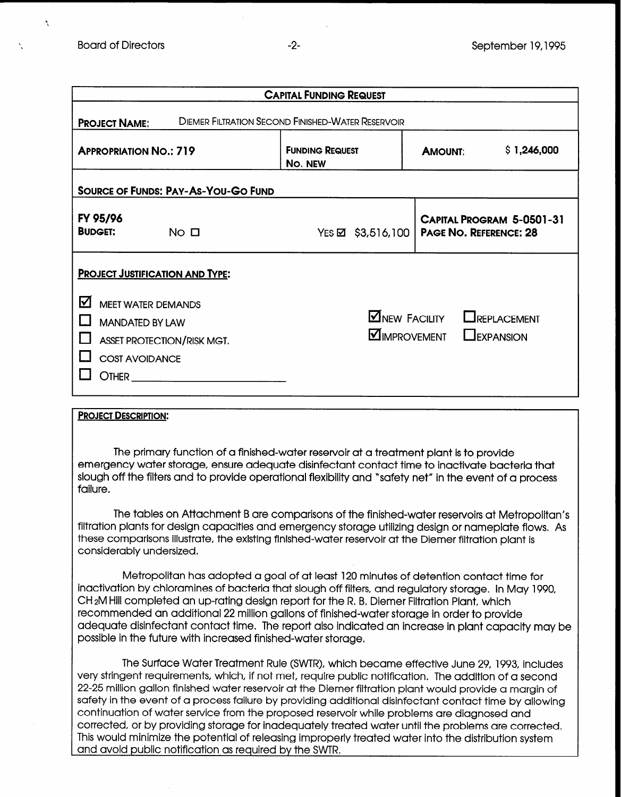N

| <b>CAPITAL FUNDING REQUEST</b>                                                                                                                                                   |                                   |                                                                                           |  |  |  |  |
|----------------------------------------------------------------------------------------------------------------------------------------------------------------------------------|-----------------------------------|-------------------------------------------------------------------------------------------|--|--|--|--|
| <b>DIEMER FILTRATION SECOND FINISHED-WATER RESERVOIR</b><br><b>PROJECT NAME:</b>                                                                                                 |                                   |                                                                                           |  |  |  |  |
| <b>APPROPRIATION NO.: 719</b>                                                                                                                                                    | <b>FUNDING REQUEST</b><br>No. NEW | \$1,246,000<br><b>AMOUNT:</b>                                                             |  |  |  |  |
| <b>SOURCE OF FUNDS: PAY-AS-YOU-GO FUND</b>                                                                                                                                       |                                   |                                                                                           |  |  |  |  |
| FY 95/96<br><b>BUDGET:</b><br>NO <sub>0</sub>                                                                                                                                    | $Yes \boxtimes$ \$3,516,100       | <b>CAPITAL PROGRAM 5-0501-31</b><br><b>PAGE NO. REFERENCE: 28</b>                         |  |  |  |  |
| <b>PROJECT JUSTIFICATION AND TYPE:</b><br><u>V</u><br><b>MEET WATER DEMANDS</b><br><b>MANDATED BY LAW</b><br><b>ASSET PROTECTION/RISK MGT.</b><br><b>COST AVOIDANCE</b><br>OTHER |                                   | $\blacksquare$ NEW FACILITY<br>LREPLACEMENT<br><b>MIMPROVEMENT</b><br>$\square$ EXPANSION |  |  |  |  |

#### PROJECT DESCRIPTION:

The primary function of a finished-water reservoir at a treatment plant is to provide emergency water storage, ensure adequate disinfectant contact time to inactivate bacteria that slough off the filters and to provide operational flexibility and "safety net" in the event of a process failure.

The tables on Attachment B are comparisons of the finished-water reservoirs at Metropolitan's filtration plants for design capacities and emergency storage utilizing design or nameplate flows. As these comparisons illustrate, the existing finished-water reservoir at the Diemer filtration plant is considerably undersized.

Metropolitan has adopted a goal of at least 120 minutes of detention contact time for inactivation by chloramines of bacteria that slough off filters, and regulatory storage. In May 1990, CH 2M Hill completed an up-rating design report for the R, B, Diemer Filtration Plant, which recommended an additional 22 million gallons of finished-water storage in order to provide adequate disinfectant contact time. The report also indicated an increase in plant capacity may be possible in the future with increased finished-water storage.

The Surface Water Treatment Rule (SWTR), which became effective June 29, 1993, includes very stringent requirements, which, if not met, require public notification. The addition of a second 22-25 million gallon finished water reservoir at the Diemer filtration plant would provide a margin of safety in the event of a process failure by providing additional disinfectant contact time by allowing continuation of water service from the proposed reservoir while problems are diagnosed and corrected, or by providing storage for inadequately treated water until the problems are corrected, This would minimize the potential of releasing improperly treated water into the distribution system and avoid public notification as required by the SWTR,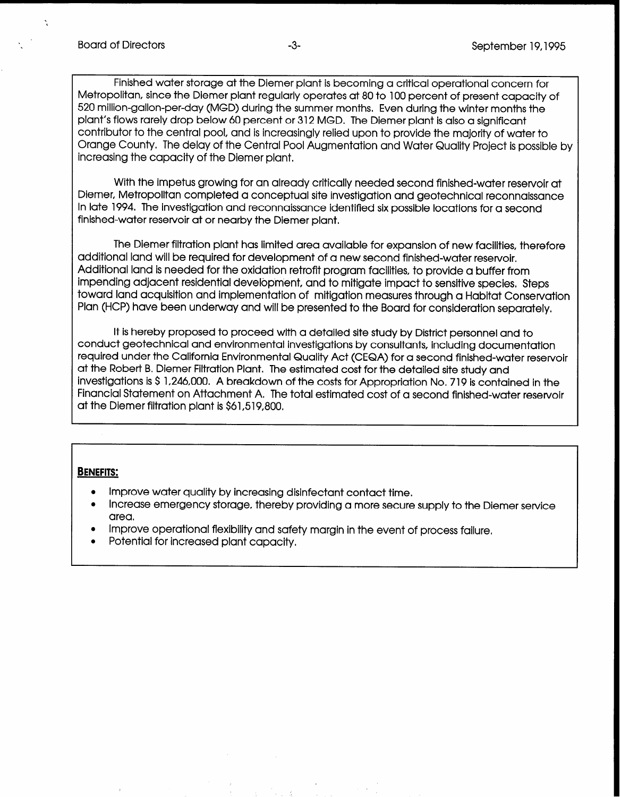$\tilde{\mathcal{L}}$ 

Finished water storage at the Diemer plant is becoming a critical operational concern for Metropolitan, since the Diemer plant regularly operates at 80 to 100 percent of present capacity of 520 million-gallon-per-day (MGD) during the summer months. Even during the winter months the plant's flows rarely drop below 60 percent or 312 MGD. The Diemer plant is also a significant contributor to the central pool, and is increasingly relied upon to provide the majority of water to Orange County. The delay of the Central Pool Augmentation and Water Quality Project is possible by increasing the capacity of the Diemer plant,

With the impetus growing for an already critically needed second finished-water reservoir at Diemer, Metropolitan completed a conceptual site investigation and geotechnical reconnaissance In late 1994. The investigation and reconnaissance identified six possible locations for a second finished-water reservoir at or nearby the Diemer plant.

The Diemer filtration plant has limited area available for expansion of new facilities, therefore additional land will be required for development of a new second finished-water reservoir, Additional land is needed for the oxidation retrofit program facilities, to provide a buffer from impending adjacent residential development, and to mitigate impact to sensitive species, Steps toward land acquisition and implementation of mitigation measures through a Habitat Conservation Plan (HCP) have been underway and will be presented to the Board for consideration separately.

It is hereby proposed to proceed with a detailed site study by District personnel and to conduct geotechnical and environmental investigations by consultants, including documentation required under the California Environmental Quality Act (CEQA) for a second finished-water reservoir at the Robert B, Diemer Filtration Plant. The estimated cost for the detailed site study and investigations is \$ 1,246,OOO. A breakdown of the costs for Appropriation No, 719 is contained in the Financial Statement on Attachment A. The total estimated cost of a second finished-water reservoir at the Diemer filtration plant is \$61,519,800.

#### BENEFITS:

I

- Improve water quality by increasing disinfectant contact time.
- Increase emergency storage, thereby providing a more secure supply to the Diemer service area.
- Improve operational flexibility and safety margin in the event of process failure,
- Potential for increased plant capacity.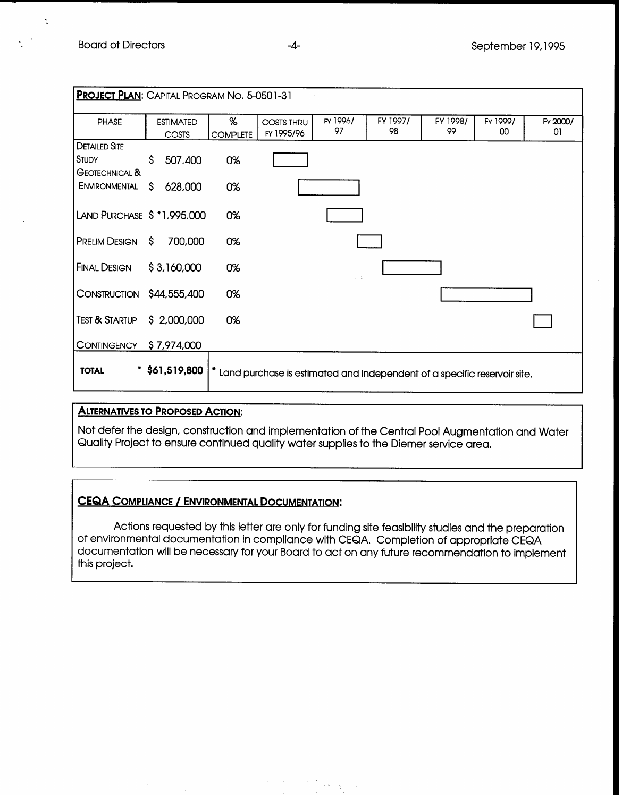$\ddot{\cdot}$ 

| <b>PROJECT PLAN:</b> CAPITAL PROGRAM NO. 5-0501-31 |                  |                 |                                                                          |                |                |                |          |          |
|----------------------------------------------------|------------------|-----------------|--------------------------------------------------------------------------|----------------|----------------|----------------|----------|----------|
|                                                    |                  |                 |                                                                          |                |                |                |          |          |
| PHASE                                              | <b>ESTIMATED</b> | %               | <b>COSTS THRU</b>                                                        | FY 1996/<br>97 | FY 1997/<br>98 | FY 1998/<br>99 | FY 1999/ | FY 2000/ |
|                                                    | COSTS            | <b>COMPLETE</b> | FY 1995/96                                                               |                |                |                | 00       | 01       |
| <b>DETAILED SITE</b>                               |                  |                 |                                                                          |                |                |                |          |          |
| <b>STUDY</b>                                       | Ŝ.<br>507,400    | 0%              |                                                                          |                |                |                |          |          |
| <b>GEOTECHNICAL &amp;</b>                          |                  |                 |                                                                          |                |                |                |          |          |
| <b>ENVIRONMENTAL</b>                               | S.<br>628,000    | 0%              |                                                                          |                |                |                |          |          |
|                                                    |                  |                 |                                                                          |                |                |                |          |          |
|                                                    |                  |                 |                                                                          |                |                |                |          |          |
| LAND PURCHASE \$ *1,995,000                        |                  | 0%              |                                                                          |                |                |                |          |          |
|                                                    |                  |                 |                                                                          |                |                |                |          |          |
| <b>PRELIM DESIGN</b>                               | S.<br>700,000    | 0%              |                                                                          |                |                |                |          |          |
|                                                    |                  |                 |                                                                          |                |                |                |          |          |
| <b>FINAL DESIGN</b>                                | \$3,160,000      | 0%              |                                                                          |                |                |                |          |          |
|                                                    |                  |                 |                                                                          |                |                |                |          |          |
| CONSTRUCTION \$44,555,400                          |                  | 0%              |                                                                          |                |                |                |          |          |
|                                                    |                  |                 |                                                                          |                |                |                |          |          |
| <b>TEST &amp; STARTUP</b>                          | \$ 2,000,000     | 0%              |                                                                          |                |                |                |          |          |
|                                                    |                  |                 |                                                                          |                |                |                |          |          |
| <b>CONTINGENCY</b>                                 | \$7,974,000      |                 |                                                                          |                |                |                |          |          |
|                                                    |                  |                 |                                                                          |                |                |                |          |          |
| <b>TOTAL</b>                                       | $*$ \$61,519,800 |                 | Land purchase is estimated and independent of a specific reservoir site. |                |                |                |          |          |
|                                                    |                  |                 |                                                                          |                |                |                |          |          |

## **ALTERNATIVES TO PROPOSED ACTION:**

Not defer the design, construction and implementation of the Central Pool Augmentation and Water Quality Project to ensure continued quality water supplies to the Diemer service area.

# CEQA COMPLIANCE / ENVIRONMENTAL DOCUMENTATION:

Actions requested by this letter are only for funding site feasibility studies and the preparation of environmental documentation in compliance with CEQA. Completion of appropriate CEQA documentation will be necessary for your Board to act on any future recommendation to implement this project.